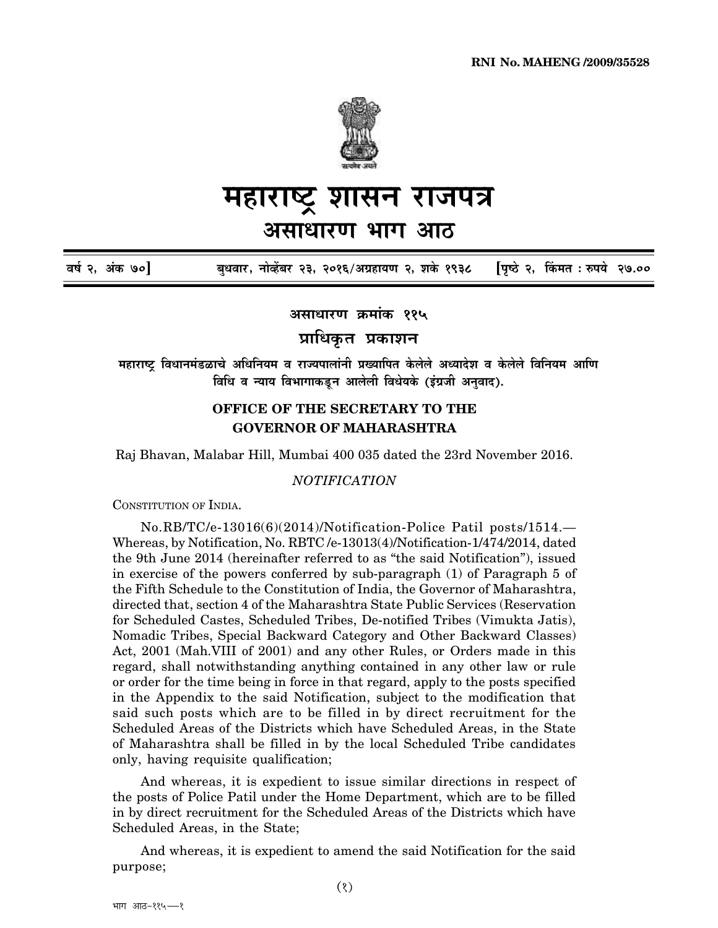

## सन राजपत्र महारा असाधारण भाग आठ

वर्ष २, अंक ७०] पिष्ठे २, किंमत : रुपये २७.०० बुधवार, नोव्हेंबर २३, २०१६/अग्रहायण २, शके १९३८

असाधारण क्रमांक ११५

प्राधिकृत प्रकाशन

महाराष्ट्र विधानमंडळाचे अधिनियम व राज्यपालांनी प्रख्यापित केलेले अध्यादेश व केलेले विनियम आणि विधि व न्याय विभागाकडून आलेली विधेयके (इंग्रजी अनुवाद).

## OFFICE OF THE SECRETARY TO THE **GOVERNOR OF MAHARASHTRA**

Raj Bhavan, Malabar Hill, Mumbai 400 035 dated the 23rd November 2016.

## **NOTIFICATION**

CONSTITUTION OF INDIA.

No.RB/TC/e-13016(6)(2014)/Notification-Police Patil posts/1514.-Whereas, by Notification, No. RBTC/e-13013(4)/Notification-1/474/2014, dated the 9th June 2014 (hereinafter referred to as "the said Notification"), issued in exercise of the powers conferred by sub-paragraph (1) of Paragraph 5 of the Fifth Schedule to the Constitution of India, the Governor of Maharashtra, directed that, section 4 of the Maharashtra State Public Services (Reservation for Scheduled Castes, Scheduled Tribes, De-notified Tribes (Vimukta Jatis), Nomadic Tribes, Special Backward Category and Other Backward Classes) Act, 2001 (Mah.VIII of 2001) and any other Rules, or Orders made in this regard, shall notwithstanding anything contained in any other law or rule or order for the time being in force in that regard, apply to the posts specified in the Appendix to the said Notification, subject to the modification that said such posts which are to be filled in by direct recruitment for the Scheduled Areas of the Districts which have Scheduled Areas, in the State of Maharashtra shall be filled in by the local Scheduled Tribe candidates only, having requisite qualification;

And whereas, it is expedient to issue similar directions in respect of the posts of Police Patil under the Home Department, which are to be filled in by direct recruitment for the Scheduled Areas of the Districts which have Scheduled Areas, in the State;

And whereas, it is expedient to amend the said Notification for the said purpose;